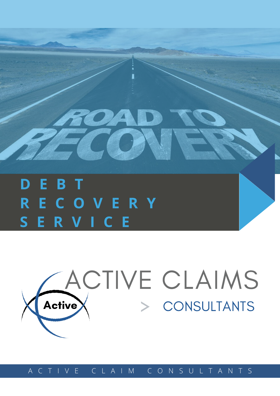# **D E B T R E C O V E R Y S E R V I C E**

# **Active** ACTIVE CLAIMS > CONSULTANTS

A C T I V E C L A I M C O N S U L T A N T S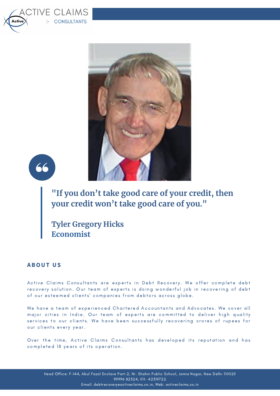





**"If you don't take good care of your credit, then your credit won't take good care of you."**

**Tyler Gregory Hicks Economist**

## **ABOUT US**

Active Claims Consultants are experts in Debt Recovery. We offer complete debt re covery solution. Our team of experts is doing wonderful job in recovering of debt of our esteemed clients' companies from debtors across globe.

We have a team of experienced Chartered Accountants and Advocates. We cover all major cities in India. Our team of experts are committed to deliver high quality services to our clients. We have been successfully recovering crores of rupees for our clients every year.

Over the time, Active Claims Consultants has developed its reputation and has completed 18 years of its operation.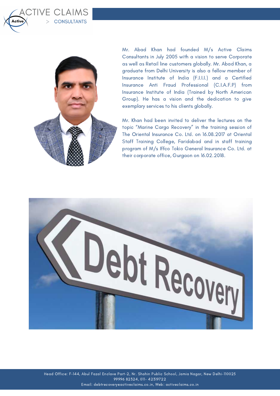

CTIVE CLAIMS

> CONSULTANTS

Mr. Abad Khan had founded M/s Active Claims Consultants in July 2005 with a vision to serve Corporate as well as Retail line customers globally. Mr. Abad Khan, a graduate from Delhi University is also a fellow member of Insurance Institute of India (F.I.I.I.) and a Certified Insurance Anti Fraud Professional (C.I.A.F.P) from Insurance Institute of India (Trained by North American Group). He has a vision and the dedication to give exemplary services to his clients globally.

Mr. Khan had been invited to deliver the lectures on the topic "Marine Cargo Recovery" in the training session of The Oriental Insurance Co. Ltd. on 16.08.2017 at Oriental Staff Training College, Faridabad and in staff training program of M/s Iffco Tokio General Insurance Co. Ltd. at their corporate office, Gurgaon on 16.02.2018.

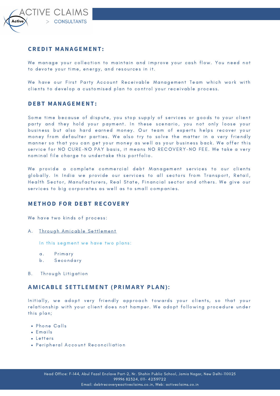

#### **CREDI T MANAGEMENT :**

We manage your collection to maintain and improve your cash flow. You need not to devote your time, energy, and resources in it.

We have our First Party Account Receivable Management Team which work with clients to develop a customised plan to control your receivable process.

#### **DEBT MANAGEMENT :**

Some time because of dispute, you stop supply of services or goods to your client party and they hold your payment. In these scenario, you not only loose your business but also hard earned money. Our team of experts helps recover your money from defaulter parties. We also try to solve the matter in a very friendly manner so that you can get your money as well as your business back. We offer this service for NO CURE-NO PAY basis, it means NO RECOVERY-NO FEE. We take a very nominal file charge to undertake this portfolio.

We provide a complete commercial debt Management services to our clients globally. In India we provide our services to all sectors from Transport, Retail, Health Sector, Manufacturers, Real State, Financial sector and others. We give our services to big corporates as well as to small companies.

#### **ME THOD FOR DEBT RECOV ERY**

We have two kinds of process:

A. Through Amicable Settlement

In this segment we have two plans:

- a. Primary
- b. Secondary
- B. Through Litigation

#### **AMICABLE S ETTLEME N T (PRIMARY PLA N ):**

Initially, we adopt very friendly approach towards your clients, so that your relationship with your client does not hamper. We adopt following procedure under this plan;

- Phone Calls
- $\cdot$  Emails
- $\cdot$  Letters
- Peripheral Account Reconciliation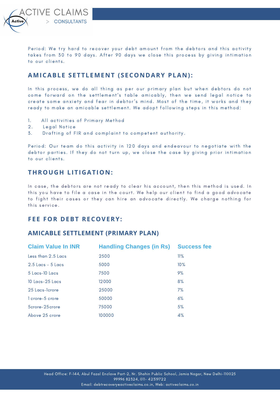**TIVE CLAIMS** CONSULTANTS

Period: We try hard to recover your debt amount from the debtors and this activity takes from 30 to 90 days. After 90 days we close this process by giving intimation to our clients.

## **AMICABLE S ETTLEME N T ( S ECO N DARY PLA N ):**

In this process, we do all thing as per our primary plan but when debtors do not come forward on the settlement's table amicably, then we send legal notice to create some anxiety and fear in debtor's mind. Most of the time, it works and they ready to make an amicable settlement. We adopt following steps in this method:

- 1. All activities of Primary Method
- 2. Legal Notice
- 3. Drafting of FIR and complaint to competent authority.

Period: Our team do this activity in 120 days and endeavour to negotiate with the debtor parties. If they do not turn up, we close the case by giving prior intimation to our clients.

## **THROUGH LITIGATIO N :**

In case, the debtors are not ready to clear his account, then this method is used. In this you have to file a case in the court. We help our client to find a good advocate to fight their cases or they can hire an advocate directly. We charge nothing for this service.

## **F E E FOR DEBT RECOVERY:**

#### **AMICABLE SETTLEMENT (PRIMARY PLAN)**

| <b>Claim Value In INR</b> | <b>Handling Changes (in Rs)</b> | <b>Success fee</b> |
|---------------------------|---------------------------------|--------------------|
| Less than 2.5 Lacs        | 2500                            | 11%                |
| $2.5$ Lacs $-5$ Lacs      | 5000                            | 10%                |
| $5$ Lacs-10 Lacs          | 7500                            | 9%                 |
| $10$ Lacs-25 Lacs         | 12000                           | 8%                 |
| 25 Lacs-Tcrore            | 25000                           | 7%                 |
| 1 crore-5 crore           | 50000                           | 6%                 |
| 5crore-25crore            | 75000                           | 5%                 |
| Above 25 crore            | 100000                          | 4%                 |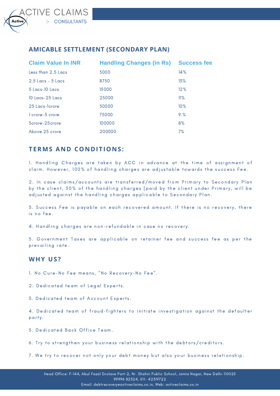# **AMICABLE SETTLEMENT (SECONDARY PLAN)**

| <b>Claim Value In INR</b> | <b>Handling Changes (in Rs)</b> | <b>Success fee</b> |
|---------------------------|---------------------------------|--------------------|
| Less than 2.5 Lacs        | 5000                            | 14%                |
| $2.5$ Lacs - $5$ Lacs     | 8750                            | 13%                |
| 5 Lacs-10 Lacs            | 15000                           | 12%                |
| 10 Lacs-25 Lacs           | 25000                           | 11%                |
| 25 Lacs-Tcrore            | 50000                           | 10%                |
| 1 crore-5 crore           | 75000                           | 9.%                |
| 5crore-25crore            | 100000                          | 8%                 |
| Above 25 crore            | 200000                          | 7%                 |

# **TERMS A N D CO N DITIO N S :**

1. Handling Charges are taken by ACC in advance at the time of assignment of claim. However, 100% of handling charges are adjustable towards the success Fee.

2. In case claims/accounts are transferred/moved from Primary to Secondary Plan by the client, 50% of the handling charges [paid by the client under Primary, will be adjusted against the handling charges applicable to Secondary Plan.

3. Success Fee is payable on each recovered amount. If there is no recovery, there is no fee.

4. Handling charges are non-refundable in case no recovery.

5. Government Taxes are applicable on retainer fee and success fee as per the prevailing rate.

#### **WHY US ?**

1. No Cure-No Fee means, "No Recovery-No Fee".

2. Dedicated team of Legal Experts.

3. Dedicated team of Account Experts.

4. Dedicated team of fraud-fighters to initiate investigation against the defaulter party.

5. Dedicated Back Office Team.

6. Try to strengthen your business relationship with the debtors/creditors.

7. We try to recover not only your debt money but also your business relationship.